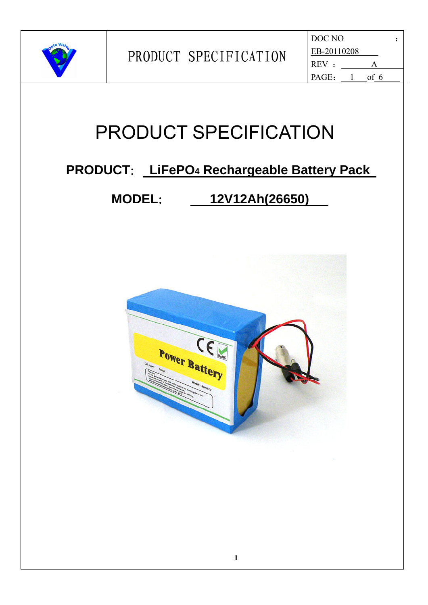

| DOC NO      |      |  |
|-------------|------|--|
| EB-20110208 |      |  |
| REV :       | А    |  |
| PAGE:       | of 6 |  |

### **PRODUCT**: **LiFePO4 Rechargeable Battery Pack**

### **MODEL**: **12V12Ah(26650)**

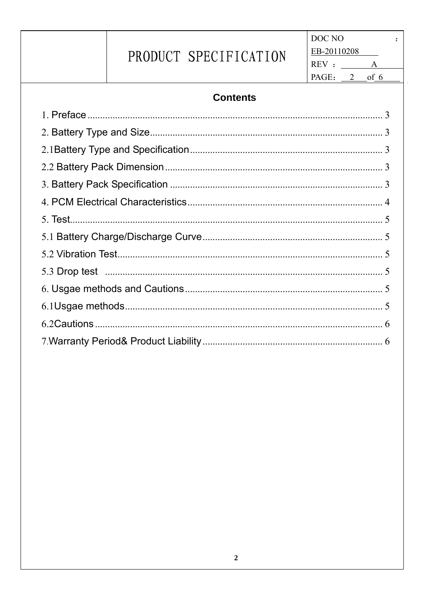DOC NO  $\ddot{\cdot}$ EB-20110208  $REV: \_\_\_\_A$ PAGE:  $2$  of 6

#### **Contents**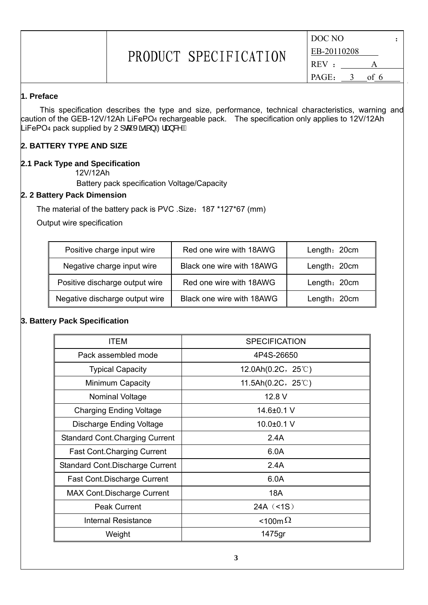| DOC NO      |   |      |  |
|-------------|---|------|--|
| EB-20110208 |   |      |  |
| REV:        |   | Δ    |  |
| PAGE:       | 2 | of 6 |  |

#### **1. Preface**

This specification describes the type and size, performance, technical characteristics, warning and caution of the GEB-12V/12Ah LiFePO4 rechargeable pack. The specification only applies to 12V/12Ah LiFePO4 pack supplied by U] q *Á*Xã ą̃ } *Á*2iæ} &^Á.

#### **2. BATTERY TYPE AND SIZE**

#### **2.1 Pack Type and Specification**

12V/12Ah

Battery pack specification Voltage/Capacity

#### **2. 2 Battery Pack Dimension**

The material of the battery pack is PVC .Size:187 \*127\*67 (mm)

Output wire specification

| Positive charge input wire     | Red one wire with 18AWG   | Length: 20cm |
|--------------------------------|---------------------------|--------------|
| Negative charge input wire     | Black one wire with 18AWG | Length: 20cm |
| Positive discharge output wire | Red one wire with 18AWG   | Length: 20cm |
| Negative discharge output wire | Black one wire with 18AWG | Length: 20cm |

#### **3. Battery Pack Specification**

| ITEM                                   | <b>SPECIFICATION</b>         |
|----------------------------------------|------------------------------|
| Pack assembled mode                    | 4P4S-26650                   |
| <b>Typical Capacity</b>                | 12.0Ah $(0.2C, 25^{\circ}C)$ |
| Minimum Capacity                       | 11.5Ah $(0.2C, 25^{\circ}C)$ |
| Nominal Voltage                        | 12.8 V                       |
| <b>Charging Ending Voltage</b>         | 14.6±0.1 V                   |
| <b>Discharge Ending Voltage</b>        | 10.0±0.1 V                   |
| <b>Standard Cont. Charging Current</b> | 2.4A                         |
| <b>Fast Cont. Charging Current</b>     | 6.0A                         |
| Standard Cont. Discharge Current       | 2.4A                         |
| <b>Fast Cont.Discharge Current</b>     | 6.0A                         |
| <b>MAX Cont.Discharge Current</b>      | 18A                          |
| <b>Peak Current</b>                    | 24A (5)                      |
| <b>Internal Resistance</b>             | <100m $\Omega$               |
| Weight                                 | 1475gr                       |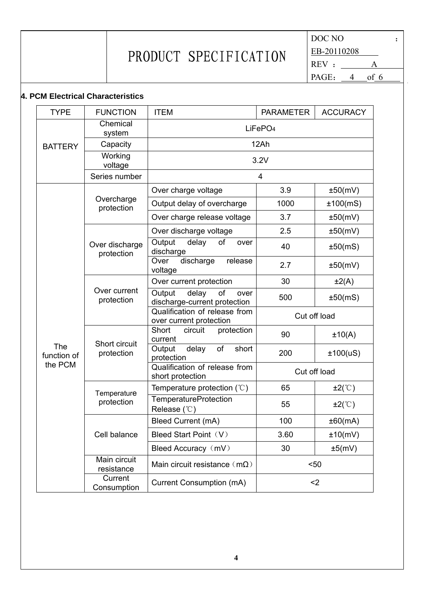DOC NO : EB-20110208  $REV: \_\_\_A$ PAGE:  $4$  of 6

#### **4. PCM Electrical Characteristics**

| <b>TYPE</b>                                                                                                                             | <b>FUNCTION</b>                              | <b>ITEM</b>                                                   | <b>PARAMETER</b> | <b>ACCURACY</b> |  |
|-----------------------------------------------------------------------------------------------------------------------------------------|----------------------------------------------|---------------------------------------------------------------|------------------|-----------------|--|
|                                                                                                                                         | Chemical<br>system                           | LiFePO <sub>4</sub>                                           |                  |                 |  |
| <b>BATTERY</b>                                                                                                                          | Capacity                                     | 12Ah                                                          |                  |                 |  |
|                                                                                                                                         | Working<br>voltage                           | 3.2V                                                          |                  |                 |  |
|                                                                                                                                         | Series number                                | 4                                                             |                  |                 |  |
|                                                                                                                                         |                                              | Over charge voltage                                           | 3.9              | ±50(mV)         |  |
|                                                                                                                                         | Overcharge<br>protection                     | Output delay of overcharge                                    | 1000             | ±100(mS)        |  |
|                                                                                                                                         |                                              | Over charge release voltage                                   | 3.7              | ±50(mV)         |  |
|                                                                                                                                         | Over discharge<br>protection                 | Over discharge voltage                                        | 2.5              | ±50(mV)         |  |
|                                                                                                                                         |                                              | Output<br>delay<br>of<br>over<br>discharge                    | 40               | ±50(mS)         |  |
| Over current<br>protection<br>Short circuit<br>The<br>protection<br>function of<br>the PCM<br>Temperature<br>protection<br>Cell balance |                                              | discharge<br>Over<br>release<br>voltage                       | 2.7              | ±50(mV)         |  |
|                                                                                                                                         |                                              | Over current protection                                       | 30               | $\pm 2(A)$      |  |
|                                                                                                                                         |                                              | Output<br>delay<br>of<br>over<br>discharge-current protection | 500              | ±50(mS)         |  |
|                                                                                                                                         |                                              | Qualification of release from<br>over current protection      | Cut off load     |                 |  |
|                                                                                                                                         |                                              | Short<br>protection<br>circuit<br>current                     | 90               | ±10(A)          |  |
|                                                                                                                                         | delay<br>of<br>short<br>Output<br>protection | 200                                                           | ±100(uS)         |                 |  |
|                                                                                                                                         |                                              | Qualification of release from<br>short protection             | Cut off load     |                 |  |
|                                                                                                                                         |                                              | Temperature protection $(°C)$                                 | 65               | $\pm 2$ (°C)    |  |
|                                                                                                                                         |                                              | <b>TemperatureProtection</b><br>Release (°C)                  | 55               | $\pm 2$ (°C)    |  |
|                                                                                                                                         |                                              | Bleed Current (mA)                                            | 100              | ±60(mA)         |  |
|                                                                                                                                         |                                              | Bleed Start Point (V)                                         | 3.60             | ±10(mV)         |  |
|                                                                                                                                         |                                              | Bleed Accuracy (mV)                                           | 30               | ±5(mV)          |  |
|                                                                                                                                         | Main circuit<br>resistance                   | Main circuit resistance ( $m\Omega$ )<br>$50$                 |                  |                 |  |
|                                                                                                                                         | Current<br>Consumption                       | Current Consumption (mA)                                      | $2$              |                 |  |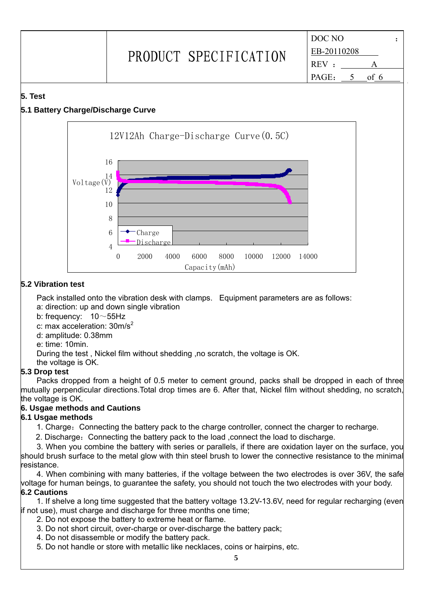DOC NO : EB-20110208 REV : PAGE: 5 of 6

#### **5. Test**

#### **5.1 Battery Charge/Discharge Curve**



#### **5.2 Vibration test**

Pack installed onto the vibration desk with clamps. Equipment parameters are as follows: a: direction: up and down single vibration

- b: frequency:  $10 \sim 55$ Hz
- c: max acceleration: 30m/s<sup>2</sup>
- d: amplitude: 0.38mm
- e: time: 10min.

During the test , Nickel film without shedding ,no scratch, the voltage is OK.

the voltage is OK.

#### **5.3 Drop test**

Packs dropped from a height of 0.5 meter to cement ground, packs shall be dropped in each of three mutually perpendicular directions.Total drop times are 6. After that, Nickel film without shedding, no scratch, the voltage is OK.

#### **6. Usgae methods and Cautions**

#### **6.1 Usgae methods**

1. Charge: Connecting the battery pack to the charge controller, connect the charger to recharge.

2. Discharge: Connecting the battery pack to the load, connect the load to discharge.

3. When you combine the battery with series or parallels, if there are oxidation layer on the surface, you should brush surface to the metal glow with thin steel brush to lower the connective resistance to the minimal resistance.

4. When combining with many batteries, if the voltage between the two electrodes is over 36V, the safe voltage for human beings, to guarantee the safety, you should not touch the two electrodes with your body. **6.2 Cautions**

1. If shelve a long time suggested that the battery voltage 13.2V-13.6V, need for regular recharging (even if not use), must charge and discharge for three months one time;

- 2. Do not expose the battery to extreme heat or flame.
- 3. Do not short circuit, over-charge or over-discharge the battery pack;
- 4. Do not disassemble or modify the battery pack.
- 5. Do not handle or store with metallic like necklaces, coins or hairpins, etc.